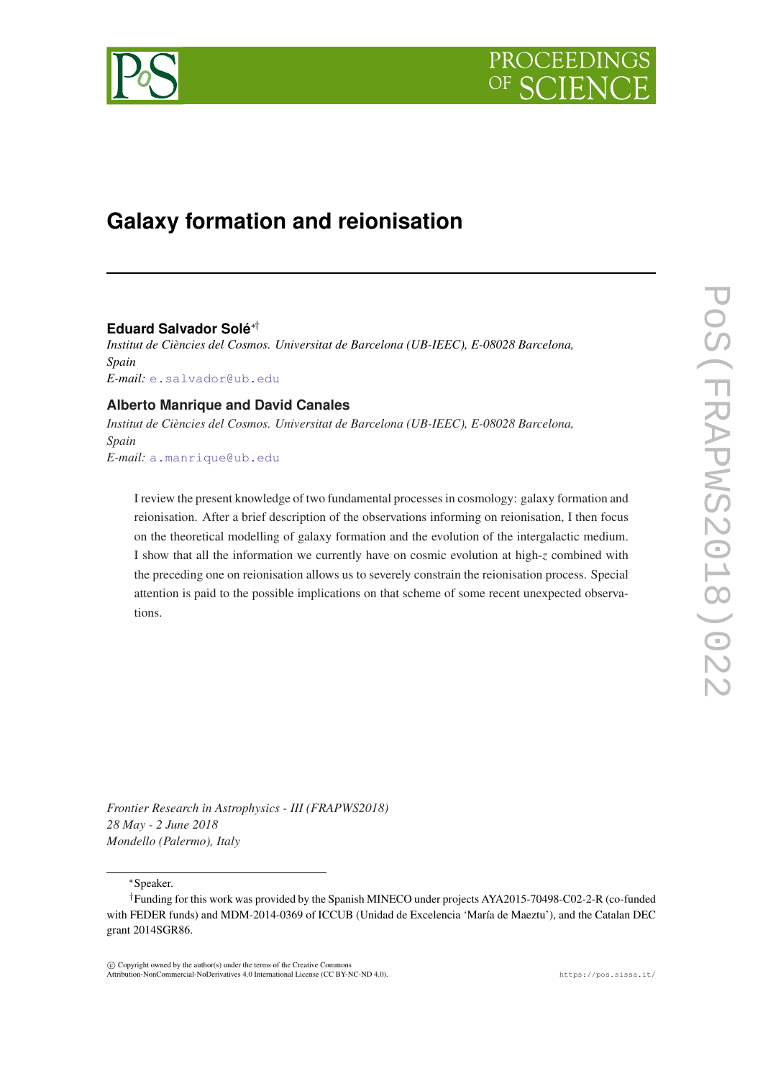# PROCEEDIN

## **Galaxy formation and reionisation**

### **Eduard Salvador Solé**∗†

*Institut de Ciències del Cosmos. Universitat de Barcelona (UB-IEEC), E-08028 Barcelona, Spain E-mail:* [e.salvador@ub.edu](mailto:e.salvador@ub.edu)

#### **Alberto Manrique and David Canales**

*Institut de Ciències del Cosmos. Universitat de Barcelona (UB-IEEC), E-08028 Barcelona, Spain E-mail:* [a.manrique@ub.edu](mailto:a.manrique@ub.edu)

I review the present knowledge of two fundamental processes in cosmology: galaxy formation and reionisation. After a brief description of the observations informing on reionisation, I then focus on the theoretical modelling of galaxy formation and the evolution of the intergalactic medium. I show that all the information we currently have on cosmic evolution at high-*z* combined with the preceding one on reionisation allows us to severely constrain the reionisation process. Special attention is paid to the possible implications on that scheme of some recent unexpected observations.

*Frontier Research in Astrophysics - III (FRAPWS2018) 28 May - 2 June 2018 Mondello (Palermo), Italy*

<sup>∗</sup>Speaker.

<sup>†</sup>Funding for this work was provided by the Spanish MINECO under projects AYA2015-70498-C02-2-R (co-funded with FEDER funds) and MDM-2014-0369 of ICCUB (Unidad de Excelencia 'María de Maeztu'), and the Catalan DEC grant 2014SGR86.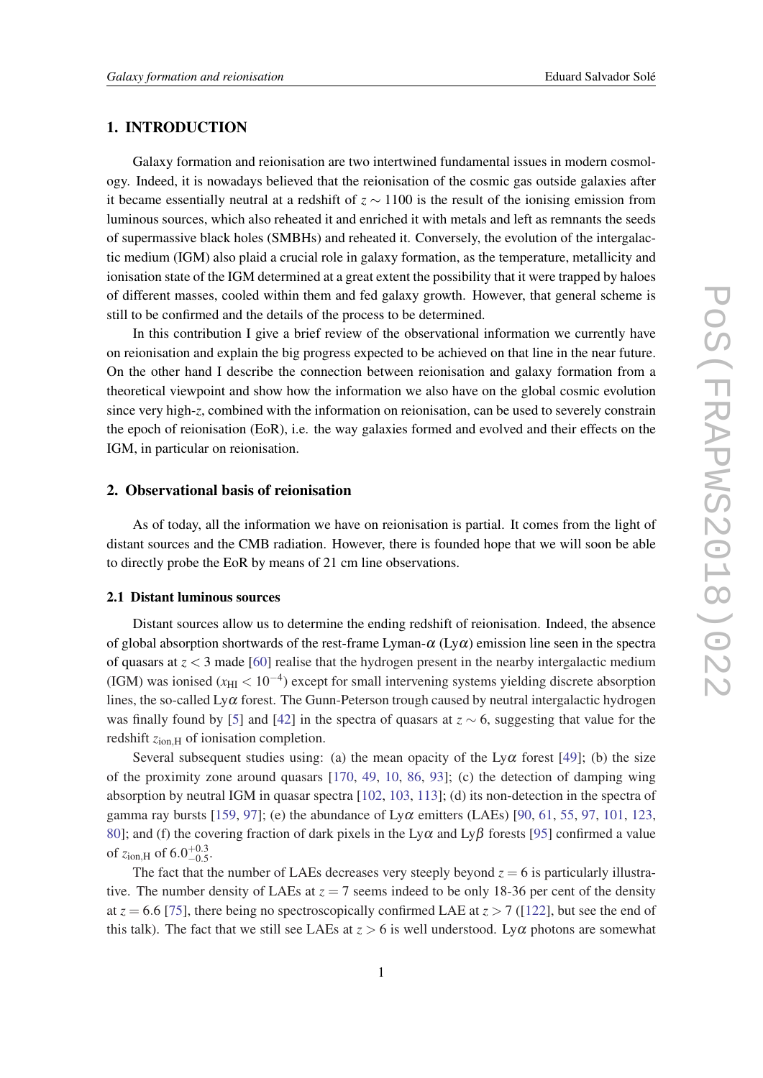#### 1. INTRODUCTION

Galaxy formation and reionisation are two intertwined fundamental issues in modern cosmology. Indeed, it is nowadays believed that the reionisation of the cosmic gas outside galaxies after it became essentially neutral at a redshift of  $z \sim 1100$  is the result of the ionising emission from luminous sources, which also reheated it and enriched it with metals and left as remnants the seeds of supermassive black holes (SMBHs) and reheated it. Conversely, the evolution of the intergalactic medium (IGM) also plaid a crucial role in galaxy formation, as the temperature, metallicity and ionisation state of the IGM determined at a great extent the possibility that it were trapped by haloes of different masses, cooled within them and fed galaxy growth. However, that general scheme is still to be confirmed and the details of the process to be determined.

In this contribution I give a brief review of the observational information we currently have on reionisation and explain the big progress expected to be achieved on that line in the near future. On the other hand I describe the connection between reionisation and galaxy formation from a theoretical viewpoint and show how the information we also have on the global cosmic evolution since very high-*z*, combined with the information on reionisation, can be used to severely constrain the epoch of reionisation (EoR), i.e. the way galaxies formed and evolved and their effects on the IGM, in particular on reionisation.

#### 2. Observational basis of reionisation

As of today, all the information we have on reionisation is partial. It comes from the light of distant sources and the CMB radiation. However, there is founded hope that we will soon be able to directly probe the EoR by means of 21 cm line observations.

#### 2.1 Distant luminous sources

Distant sources allow us to determine the ending redshift of reionisation. Indeed, the absence of global absorption shortwards of the rest-frame Lyman- $\alpha$  (Ly $\alpha$ ) emission line seen in the spectra of quasars at *z* < 3 made [\[60](#page-10-0)] realise that the hydrogen present in the nearby intergalactic medium (IGM) was ionised ( $x_{\text{HI}} < 10^{-4}$ ) except for small intervening systems yielding discrete absorption lines, the so-called  $Ly\alpha$  forest. The Gunn-Peterson trough caused by neutral intergalactic hydrogen was finally found by [\[5\]](#page-8-0) and [\[42](#page-10-0)] in the spectra of quasars at *z* ∼ 6, suggesting that value for the redshift  $z<sub>ion,H</sub>$  of ionisation completion.

Several subsequent studies using: (a) the mean opacity of the Ly $\alpha$  forest [[49](#page-10-0)]; (b) the size of the proximity zone around quasars [[170](#page-13-0), [49,](#page-10-0) [10](#page-9-0), [86,](#page-11-0) [93](#page-11-0)]; (c) the detection of damping wing absorption by neutral IGM in quasar spectra [[102](#page-11-0), [103](#page-11-0), [113\]](#page-12-0); (d) its non-detection in the spectra of gamma ray bursts [[159](#page-13-0), [97\]](#page-11-0); (e) the abundance of  $Ly\alpha$  emitters (LAEs) [[90,](#page-11-0) [61,](#page-10-0) [55](#page-10-0), [97,](#page-11-0) [101](#page-11-0), [123](#page-12-0), [80](#page-11-0)]; and (f) the covering fraction of dark pixels in the Ly $\alpha$  and Ly $\beta$  forests [[95\]](#page-11-0) confirmed a value of  $z_{\rm ion,H}$  of 6.0<sup>+0.3</sup>.

The fact that the number of LAEs decreases very steeply beyond  $z = 6$  is particularly illustrative. The number density of LAEs at  $z = 7$  seems indeed to be only 18-36 per cent of the density at  $z = 6.6$  [[75\]](#page-11-0), there being no spectroscopically confirmed LAE at  $z > 7$  ([[122](#page-12-0)], but see the end of this talk). The fact that we still see LAEs at  $z > 6$  is well understood. Ly $\alpha$  photons are somewhat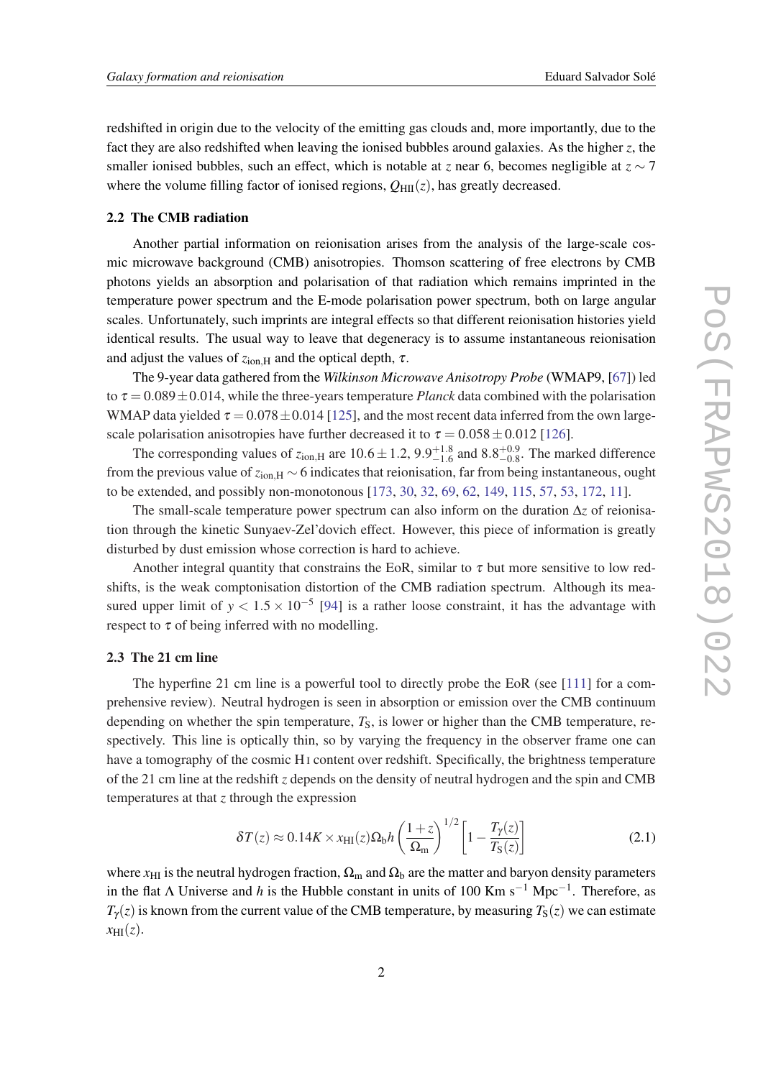redshifted in origin due to the velocity of the emitting gas clouds and, more importantly, due to the fact they are also redshifted when leaving the ionised bubbles around galaxies. As the higher *z*, the smaller ionised bubbles, such an effect, which is notable at *z* near 6, becomes negligible at  $z \sim 7$ where the volume filling factor of ionised regions,  $Q_{\text{HII}}(z)$ , has greatly decreased.

#### 2.2 The CMB radiation

Another partial information on reionisation arises from the analysis of the large-scale cosmic microwave background (CMB) anisotropies. Thomson scattering of free electrons by CMB photons yields an absorption and polarisation of that radiation which remains imprinted in the temperature power spectrum and the E-mode polarisation power spectrum, both on large angular scales. Unfortunately, such imprints are integral effects so that different reionisation histories yield identical results. The usual way to leave that degeneracy is to assume instantaneous reionisation and adjust the values of  $z<sub>ion,H</sub>$  and the optical depth,  $\tau$ .

The 9-year data gathered from the *Wilkinson Microwave Anisotropy Probe* (WMAP9, [\[67](#page-10-0)]) led to  $\tau = 0.089 \pm 0.014$ , while the three-years temperature *Planck* data combined with the polarisation WMAP data yielded  $\tau = 0.078 \pm 0.014$  [[125](#page-12-0)], and the most recent data inferred from the own largescale polarisation anisotropies have further decreased it to  $\tau = 0.058 \pm 0.012$  [\[126\]](#page-12-0).

The corresponding values of  $z_{\text{ion,H}}$  are  $10.6 \pm 1.2$ ,  $9.9_{-1.6}^{+1.8}$  and  $8.8_{-0.8}^{+0.9}$ . The marked difference from the previous value of *z*ion,<sup>H</sup> ∼ 6 indicates that reionisation, far from being instantaneous, ought to be extended, and possibly non-monotonous [\[173](#page-13-0), [30,](#page-9-0) [32](#page-9-0), [69,](#page-10-0) [62,](#page-10-0) [149,](#page-13-0) [115,](#page-12-0) [57,](#page-10-0) [53](#page-10-0), [172](#page-13-0), [11](#page-9-0)].

The small-scale temperature power spectrum can also inform on the duration ∆*z* of reionisation through the kinetic Sunyaev-Zel'dovich effect. However, this piece of information is greatly disturbed by dust emission whose correction is hard to achieve.

Another integral quantity that constrains the EoR, similar to  $\tau$  but more sensitive to low redshifts, is the weak comptonisation distortion of the CMB radiation spectrum. Although its measured upper limit of  $y < 1.5 \times 10^{-5}$  [[94\]](#page-11-0) is a rather loose constraint, it has the advantage with respect to  $\tau$  of being inferred with no modelling.

#### 2.3 The 21 cm line

The hyperfine 21 cm line is a powerful tool to directly probe the EoR (see [[111](#page-12-0)] for a comprehensive review). Neutral hydrogen is seen in absorption or emission over the CMB continuum depending on whether the spin temperature,  $T<sub>S</sub>$ , is lower or higher than the CMB temperature, respectively. This line is optically thin, so by varying the frequency in the observer frame one can have a tomography of the cosmic HI content over redshift. Specifically, the brightness temperature of the 21 cm line at the redshift *z* depends on the density of neutral hydrogen and the spin and CMB temperatures at that *z* through the expression

$$
\delta T(z) \approx 0.14 K \times x_{\rm HI}(z) \Omega_{\rm b} h \left(\frac{1+z}{\Omega_{\rm m}}\right)^{1/2} \left[1 - \frac{T_{\gamma}(z)}{T_{\rm S}(z)}\right] \tag{2.1}
$$

where  $x_{HI}$  is the neutral hydrogen fraction,  $\Omega_m$  and  $\Omega_b$  are the matter and baryon density parameters in the flat  $\Lambda$  Universe and *h* is the Hubble constant in units of 100 Km s<sup>-1</sup> Mpc<sup>-1</sup>. Therefore, as  $T_{\gamma}(z)$  is known from the current value of the CMB temperature, by measuring  $T_{S}(z)$  we can estimate  $x_{\text{HI}}(z)$ .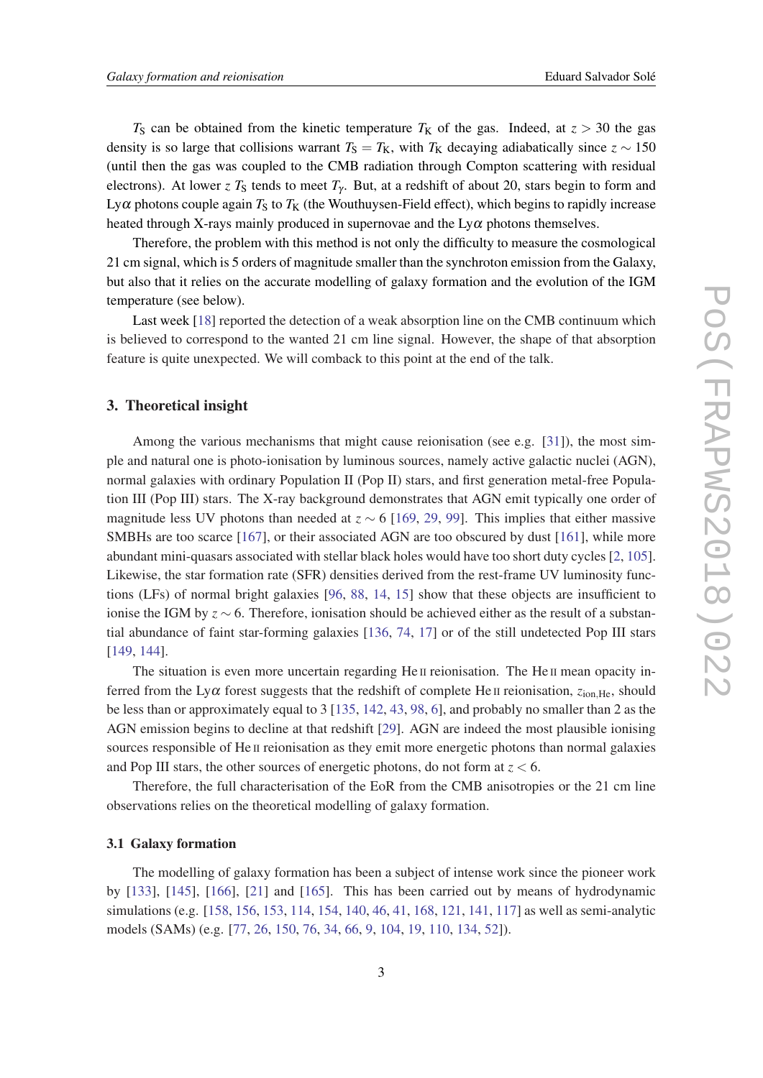$T<sub>S</sub>$  can be obtained from the kinetic temperature  $T<sub>K</sub>$  of the gas. Indeed, at  $z > 30$  the gas density is so large that collisions warrant  $T_S = T_K$ , with  $T_K$  decaying adiabatically since  $z \sim 150$ (until then the gas was coupled to the CMB radiation through Compton scattering with residual electrons). At lower *z*  $T_S$  tends to meet  $T_Y$ . But, at a redshift of about 20, stars begin to form and Ly $\alpha$  photons couple again  $T_S$  to  $T_K$  (the Wouthuysen-Field effect), which begins to rapidly increase heated through X-rays mainly produced in supernovae and the  $Ly\alpha$  photons themselves.

Therefore, the problem with this method is not only the difficulty to measure the cosmological 21 cm signal, which is 5 orders of magnitude smaller than the synchroton emission from the Galaxy, but also that it relies on the accurate modelling of galaxy formation and the evolution of the IGM temperature (see below).

Last week [\[18\]](#page-9-0) reported the detection of a weak absorption line on the CMB continuum which is believed to correspond to the wanted 21 cm line signal. However, the shape of that absorption feature is quite unexpected. We will comback to this point at the end of the talk.

#### 3. Theoretical insight

Among the various mechanisms that might cause reionisation (see e.g. [[31](#page-9-0)]), the most simple and natural one is photo-ionisation by luminous sources, namely active galactic nuclei (AGN), normal galaxies with ordinary Population II (Pop II) stars, and first generation metal-free Population III (Pop III) stars. The X-ray background demonstrates that AGN emit typically one order of magnitude less UV photons than needed at *z* ∼ 6 [\[169,](#page-13-0) [29,](#page-9-0) [99\]](#page-11-0). This implies that either massive SMBHs are too scarce [\[167\]](#page-13-0), or their associated AGN are too obscured by dust [[161](#page-13-0)], while more abundant mini-quasars associated with stellar black holes would have too short duty cycles [[2](#page-8-0), [105\]](#page-11-0). Likewise, the star formation rate (SFR) densities derived from the rest-frame UV luminosity functions (LFs) of normal bright galaxies [\[96](#page-11-0), [88,](#page-11-0) [14,](#page-9-0) [15](#page-9-0)] show that these objects are insufficient to ionise the IGM by *z* ∼ 6. Therefore, ionisation should be achieved either as the result of a substantial abundance of faint star-forming galaxies [\[136](#page-12-0), [74,](#page-11-0) [17\]](#page-9-0) or of the still undetected Pop III stars [[149](#page-13-0), [144](#page-13-0)].

The situation is even more uncertain regarding He II reionisation. The He II mean opacity inferred from the Ly $\alpha$  forest suggests that the redshift of complete He II reionisation,  $z_{\text{ion.He}}$ , should be less than or approximately equal to 3 [\[135,](#page-12-0) [142](#page-13-0), [43](#page-10-0), [98](#page-11-0), [6\]](#page-8-0), and probably no smaller than 2 as the AGN emission begins to decline at that redshift [\[29](#page-9-0)]. AGN are indeed the most plausible ionising sources responsible of He<sub>II</sub> reionisation as they emit more energetic photons than normal galaxies and Pop III stars, the other sources of energetic photons, do not form at  $z < 6$ .

Therefore, the full characterisation of the EoR from the CMB anisotropies or the 21 cm line observations relies on the theoretical modelling of galaxy formation.

#### 3.1 Galaxy formation

The modelling of galaxy formation has been a subject of intense work since the pioneer work by [\[133\]](#page-12-0), [\[145\]](#page-13-0), [\[166](#page-13-0)], [\[21](#page-9-0)] and [[165\]](#page-13-0). This has been carried out by means of hydrodynamic simulations (e.g. [\[158,](#page-13-0) [156](#page-13-0), [153](#page-13-0), [114,](#page-12-0) [154](#page-13-0), [140,](#page-12-0) [46,](#page-10-0) [41,](#page-10-0) [168](#page-13-0), [121](#page-12-0), [141,](#page-13-0) [117](#page-12-0)] as well as semi-analytic models (SAMs) (e.g. [[77,](#page-11-0) [26](#page-9-0), [150,](#page-13-0) [76](#page-11-0), [34,](#page-9-0) [66](#page-10-0), [9,](#page-9-0) [104,](#page-11-0) [19](#page-9-0), [110,](#page-12-0) [134,](#page-12-0) [52](#page-10-0)]).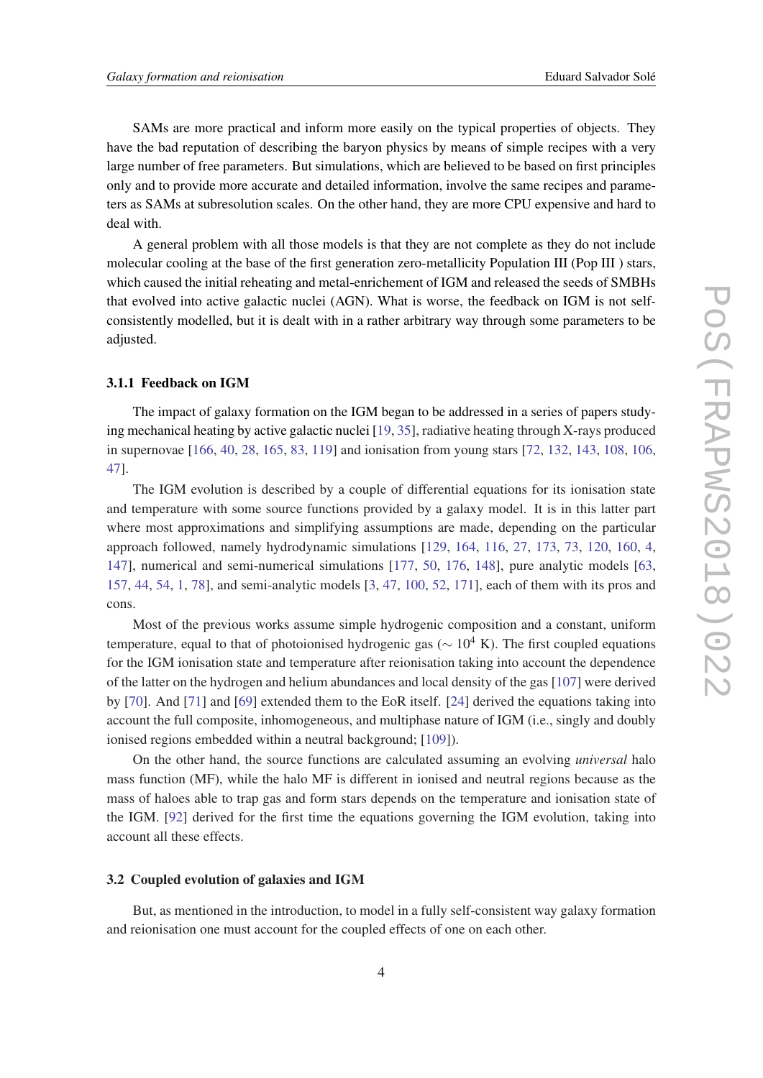SAMs are more practical and inform more easily on the typical properties of objects. They have the bad reputation of describing the baryon physics by means of simple recipes with a very large number of free parameters. But simulations, which are believed to be based on first principles only and to provide more accurate and detailed information, involve the same recipes and parameters as SAMs at subresolution scales. On the other hand, they are more CPU expensive and hard to deal with.

A general problem with all those models is that they are not complete as they do not include molecular cooling at the base of the first generation zero-metallicity Population III (Pop III ) stars, which caused the initial reheating and metal-enrichement of IGM and released the seeds of SMBHs that evolved into active galactic nuclei (AGN). What is worse, the feedback on IGM is not selfconsistently modelled, but it is dealt with in a rather arbitrary way through some parameters to be adjusted.

#### 3.1.1 Feedback on IGM

The impact of galaxy formation on the IGM began to be addressed in a series of papers studying mechanical heating by active galactic nuclei [\[19](#page-9-0), [35\]](#page-9-0), radiative heating through X-rays produced in supernovae [\[166,](#page-13-0) [40](#page-9-0), [28](#page-9-0), [165](#page-13-0), [83,](#page-11-0) [119\]](#page-12-0) and ionisation from young stars [[72,](#page-10-0) [132,](#page-12-0) [143](#page-13-0), [108](#page-12-0), [106](#page-11-0), [47](#page-10-0)].

The IGM evolution is described by a couple of differential equations for its ionisation state and temperature with some source functions provided by a galaxy model. It is in this latter part where most approximations and simplifying assumptions are made, depending on the particular approach followed, namely hydrodynamic simulations [\[129,](#page-12-0) [164](#page-13-0), [116](#page-12-0), [27,](#page-9-0) [173](#page-13-0), [73,](#page-10-0) [120,](#page-12-0) [160](#page-13-0), [4](#page-8-0), [147\]](#page-13-0), numerical and semi-numerical simulations [\[177](#page-14-0), [50,](#page-10-0) [176,](#page-14-0) [148\]](#page-13-0), pure analytic models [\[63](#page-10-0), [157,](#page-13-0) [44](#page-10-0), [54,](#page-10-0) [1,](#page-8-0) [78](#page-11-0)], and semi-analytic models [[3](#page-8-0), [47,](#page-10-0) [100,](#page-11-0) [52](#page-10-0), [171](#page-13-0)], each of them with its pros and cons.

Most of the previous works assume simple hydrogenic composition and a constant, uniform temperature, equal to that of photoionised hydrogenic gas ( $\sim 10^4$  K). The first coupled equations for the IGM ionisation state and temperature after reionisation taking into account the dependence of the latter on the hydrogen and helium abundances and local density of the gas [[107](#page-11-0)] were derived by [[70\]](#page-10-0). And [[71\]](#page-10-0) and [\[69](#page-10-0)] extended them to the EoR itself. [[24\]](#page-9-0) derived the equations taking into account the full composite, inhomogeneous, and multiphase nature of IGM (i.e., singly and doubly ionised regions embedded within a neutral background; [[109](#page-12-0)]).

On the other hand, the source functions are calculated assuming an evolving *universal* halo mass function (MF), while the halo MF is different in ionised and neutral regions because as the mass of haloes able to trap gas and form stars depends on the temperature and ionisation state of the IGM. [[92\]](#page-11-0) derived for the first time the equations governing the IGM evolution, taking into account all these effects.

#### 3.2 Coupled evolution of galaxies and IGM

But, as mentioned in the introduction, to model in a fully self-consistent way galaxy formation and reionisation one must account for the coupled effects of one on each other.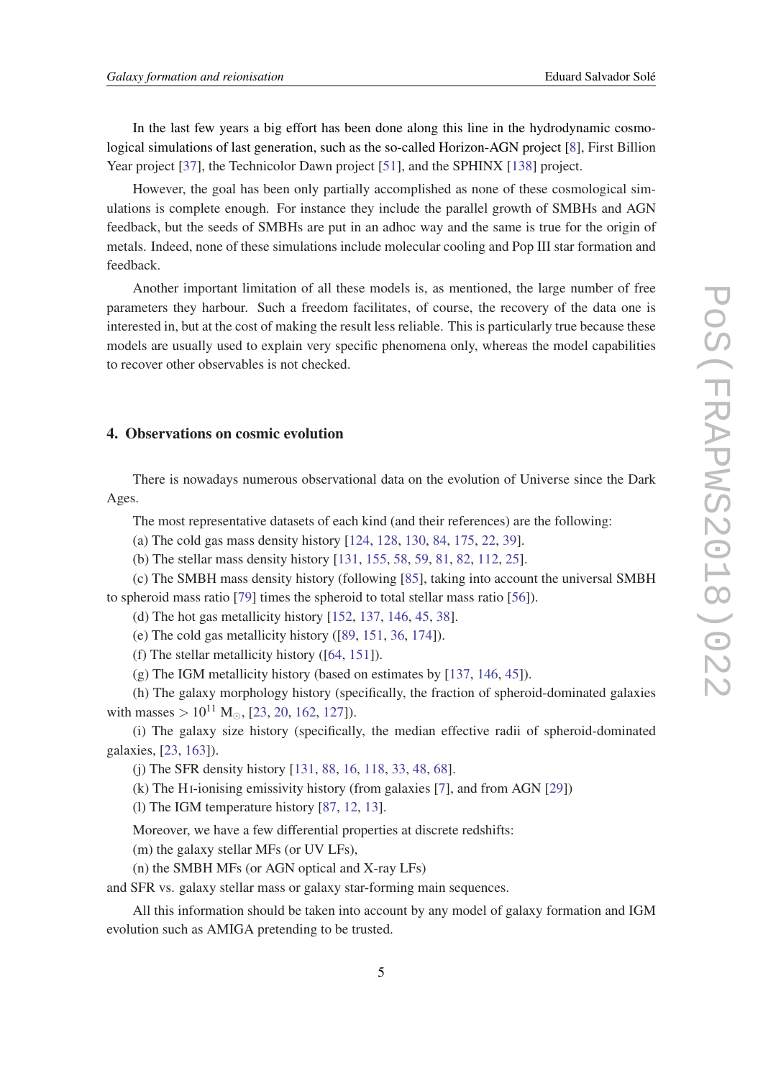In the last few years a big effort has been done along this line in the hydrodynamic cosmological simulations of last generation, such as the so-called Horizon-AGN project [\[8\]](#page-8-0), First Billion Year project [[37\]](#page-9-0), the Technicolor Dawn project [[51\]](#page-10-0), and the SPHINX [\[138](#page-12-0)] project.

However, the goal has been only partially accomplished as none of these cosmological simulations is complete enough. For instance they include the parallel growth of SMBHs and AGN feedback, but the seeds of SMBHs are put in an adhoc way and the same is true for the origin of metals. Indeed, none of these simulations include molecular cooling and Pop III star formation and feedback.

Another important limitation of all these models is, as mentioned, the large number of free parameters they harbour. Such a freedom facilitates, of course, the recovery of the data one is interested in, but at the cost of making the result less reliable. This is particularly true because these models are usually used to explain very specific phenomena only, whereas the model capabilities to recover other observables is not checked.

#### 4. Observations on cosmic evolution

There is nowadays numerous observational data on the evolution of Universe since the Dark Ages.

The most representative datasets of each kind (and their references) are the following:

(a) The cold gas mass density history [\[124,](#page-12-0) [128,](#page-12-0) [130](#page-12-0), [84,](#page-11-0) [175,](#page-14-0) [22,](#page-9-0) [39](#page-9-0)].

(b) The stellar mass density history [[131](#page-12-0), [155,](#page-13-0) [58](#page-10-0), [59,](#page-10-0) [81,](#page-11-0) [82](#page-11-0), [112](#page-12-0), [25](#page-9-0)].

(c) The SMBH mass density history (following [\[85\]](#page-11-0), taking into account the universal SMBH to spheroid mass ratio [[79\]](#page-11-0) times the spheroid to total stellar mass ratio [\[56](#page-10-0)]).

(d) The hot gas metallicity history [[152](#page-13-0), [137,](#page-12-0) [146,](#page-13-0) [45](#page-10-0), [38](#page-9-0)].

(e) The cold gas metallicity history ([[89,](#page-11-0) [151](#page-13-0), [36,](#page-9-0) [174\]](#page-14-0)).

(f) The stellar metallicity history ([\[64,](#page-10-0) [151\]](#page-13-0)).

(g) The IGM metallicity history (based on estimates by [[137,](#page-12-0) [146,](#page-13-0) [45](#page-10-0)]).

(h) The galaxy morphology history (specifically, the fraction of spheroid-dominated galaxies with masses  $> 10^{11}$  M<sub>o</sub>, [[23](#page-9-0), [20,](#page-9-0) [162,](#page-13-0) [127](#page-12-0)]).

(i) The galaxy size history (specifically, the median effective radii of spheroid-dominated galaxies, [\[23](#page-9-0), [163\]](#page-13-0)).

(j) The SFR density history [\[131,](#page-12-0) [88](#page-11-0), [16,](#page-9-0) [118](#page-12-0), [33,](#page-9-0) [48](#page-10-0), [68](#page-10-0)].

(k) The HI-ionising emissivity history (from galaxies [\[7\]](#page-8-0), and from AGN [[29\]](#page-9-0))

(l) The IGM temperature history [[87,](#page-11-0) [12](#page-9-0), [13](#page-9-0)].

Moreover, we have a few differential properties at discrete redshifts:

(m) the galaxy stellar MFs (or UV LFs),

(n) the SMBH MFs (or AGN optical and X-ray LFs)

and SFR vs. galaxy stellar mass or galaxy star-forming main sequences.

All this information should be taken into account by any model of galaxy formation and IGM evolution such as AMIGA pretending to be trusted.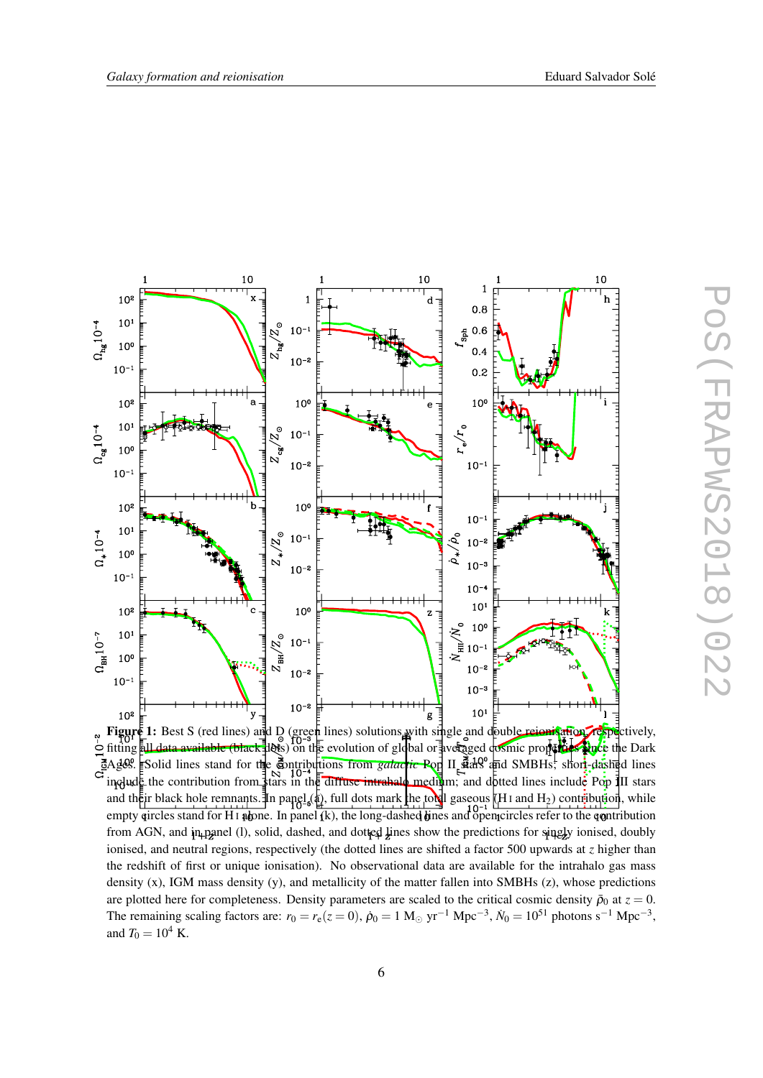<span id="page-6-0"></span>



Figure 1: Best S (red lines) and D (green lines) solutions with single and double reionisation, respectively, fitting all data available (black details) on the evolution of global or averaged cosmic properties since the Dark EAges. Solid lines stand for the contributions from *galactic* Pop II stars and SMBHs; short-dashed lines include the contribution from stars in the diffuse intrahalo medium; and dotted lines include Pop III stars and their black hole remnants. In panel (a), full dots mark the to**d**l gaseous (H I and H<sub>2</sub>) contribution, while empty circles stand for H<sub>I</sub> alone. In panel (k), the long-dashed lines and open circles refer to the contribution from AGN, and in panel (l), solid, dashed, and dotted lines show the predictions for singly ionised, doubly ionised, and neutral regions, respectively (the dotted lines are shifted a factor 500 upwards at *z* higher than the redshift of first or unique ionisation). No observational data are available for the intrahalo gas mass density (x), IGM mass density (y), and metallicity of the matter fallen into SMBHs (z), whose predictions are plotted here for completeness. Density parameters are scaled to the critical cosmic density  $\bar{p}_0$  at  $z = 0$ . The remaining scaling factors are:  $r_0 = r_e(z=0)$ ,  $\dot{\rho}_0 = 1 \text{ M}_{\odot} \text{ yr}^{-1} \text{ Mpc}^{-3}$ ,  $\dot{N}_0 = 10^{51} \text{ photons s}^{-1} \text{ Mpc}^{-3}$ , and  $T_0 = 10^4$  K.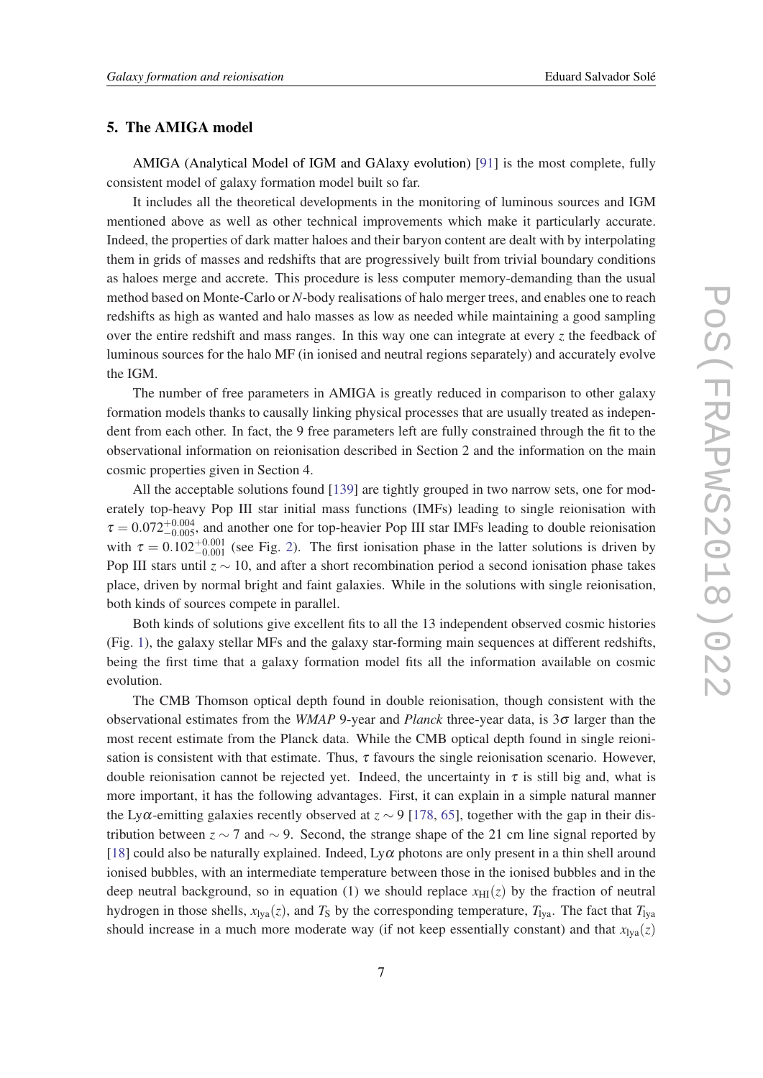#### 5. The AMIGA model

AMIGA (Analytical Model of IGM and GAlaxy evolution) [[91\]](#page-11-0) is the most complete, fully consistent model of galaxy formation model built so far.

It includes all the theoretical developments in the monitoring of luminous sources and IGM mentioned above as well as other technical improvements which make it particularly accurate. Indeed, the properties of dark matter haloes and their baryon content are dealt with by interpolating them in grids of masses and redshifts that are progressively built from trivial boundary conditions as haloes merge and accrete. This procedure is less computer memory-demanding than the usual method based on Monte-Carlo or *N*-body realisations of halo merger trees, and enables one to reach redshifts as high as wanted and halo masses as low as needed while maintaining a good sampling over the entire redshift and mass ranges. In this way one can integrate at every *z* the feedback of luminous sources for the halo MF (in ionised and neutral regions separately) and accurately evolve the IGM.

The number of free parameters in AMIGA is greatly reduced in comparison to other galaxy formation models thanks to causally linking physical processes that are usually treated as independent from each other. In fact, the 9 free parameters left are fully constrained through the fit to the observational information on reionisation described in Section 2 and the information on the main cosmic properties given in Section 4.

All the acceptable solutions found [[139](#page-12-0)] are tightly grouped in two narrow sets, one for moderately top-heavy Pop III star initial mass functions (IMFs) leading to single reionisation with  $\tau = 0.072^{+0.004}_{-0.005}$ , and another one for top-heavier Pop III star IMFs leading to double reionisation with  $\tau = 0.102^{+0.001}_{-0.001}$  (see Fig. [2\)](#page-8-0). The first ionisation phase in the latter solutions is driven by Pop III stars until *z* ∼ 10, and after a short recombination period a second ionisation phase takes place, driven by normal bright and faint galaxies. While in the solutions with single reionisation, both kinds of sources compete in parallel.

Both kinds of solutions give excellent fits to all the 13 independent observed cosmic histories (Fig. [1\)](#page-6-0), the galaxy stellar MFs and the galaxy star-forming main sequences at different redshifts, being the first time that a galaxy formation model fits all the information available on cosmic evolution.

The CMB Thomson optical depth found in double reionisation, though consistent with the observational estimates from the *WMAP* 9-year and *Planck* three-year data, is 3σ larger than the most recent estimate from the Planck data. While the CMB optical depth found in single reionisation is consistent with that estimate. Thus,  $\tau$  favours the single reionisation scenario. However, double reionisation cannot be rejected yet. Indeed, the uncertainty in  $\tau$  is still big and, what is more important, it has the following advantages. First, it can explain in a simple natural manner the Ly $\alpha$ -emitting galaxies recently observed at  $z \sim 9$  [\[178,](#page-14-0) [65](#page-10-0)], together with the gap in their distribution between  $z \sim 7$  and ~ 9. Second, the strange shape of the 21 cm line signal reported by [[18\]](#page-9-0) could also be naturally explained. Indeed,  $Ly\alpha$  photons are only present in a thin shell around ionised bubbles, with an intermediate temperature between those in the ionised bubbles and in the deep neutral background, so in equation (1) we should replace  $x_{\text{HI}}(z)$  by the fraction of neutral hydrogen in those shells,  $x_{1ya}(z)$ , and  $T_S$  by the corresponding temperature,  $T_{1ya}$ . The fact that  $T_{1ya}$ should increase in a much more moderate way (if not keep essentially constant) and that  $x_{1ya}(z)$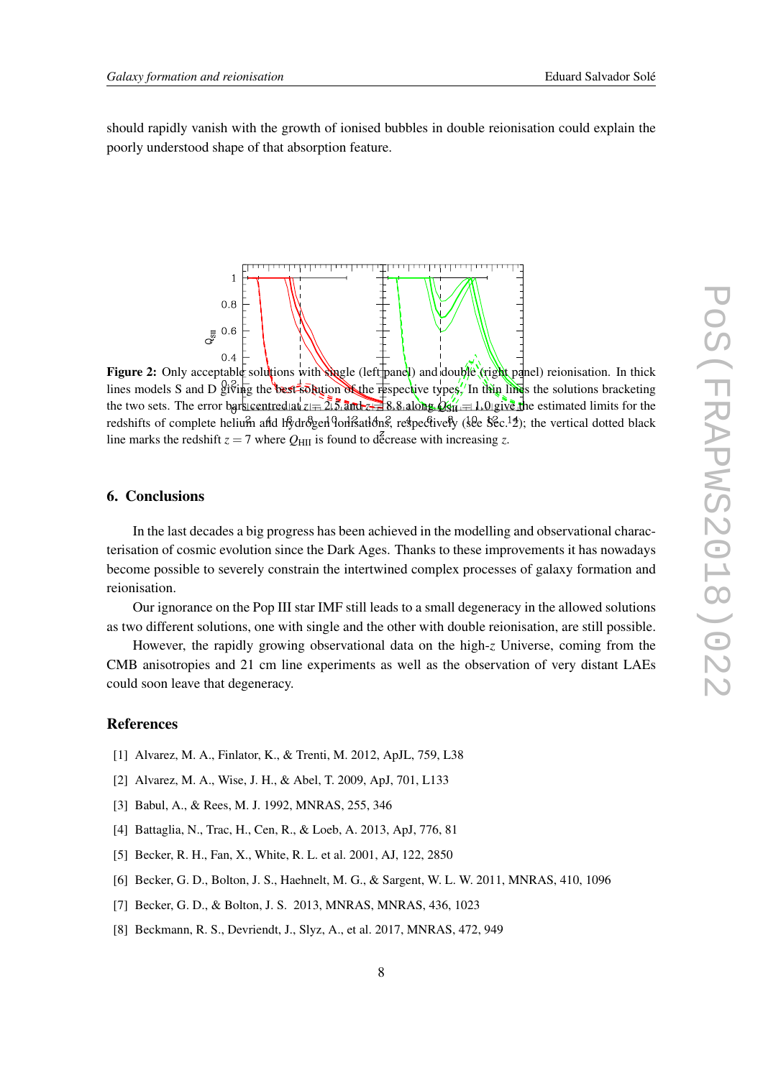<span id="page-8-0"></span>should rapidly vanish with the growth of ionised bubbles in double reionisation could explain the poorly understood shape of that absorption feature.



Figure 2: Only acceptable solutions with shagle (left panel) and double (right panel) reionisation. In thick lines models S and D giving the best solution of the respective types.<sup>"</sup> In thin lines the solutions bracketing the two sets. The error bars centred at  $z = 2.5$  and  $z = 8.8$  along  $Q_{\text{SH}} = 1.0$  give the estimated limits for the redshifts of complete helium and hydrogen ionisations, respectively (see Sec. 12); the vertical dotted black line marks the redshift  $z = 7$  where  $Q_{\text{HII}}$  is found to decrease with increasing *z*.

#### 6. Conclusions

In the last decades a big progress has been achieved in the modelling and observational characterisation of cosmic evolution since the Dark Ages. Thanks to these improvements it has nowadays become possible to severely constrain the intertwined complex processes of galaxy formation and reionisation.

Our ignorance on the Pop III star IMF still leads to a small degeneracy in the allowed solutions as two different solutions, one with single and the other with double reionisation, are still possible.

However, the rapidly growing observational data on the high-*z* Universe, coming from the CMB anisotropies and 21 cm line experiments as well as the observation of very distant LAEs could soon leave that degeneracy.

#### References

- [1] Alvarez, M. A., Finlator, K., & Trenti, M. 2012, ApJL, 759, L38
- [2] Alvarez, M. A., Wise, J. H., & Abel, T. 2009, ApJ, 701, L133
- [3] Babul, A., & Rees, M. J. 1992, MNRAS, 255, 346
- [4] Battaglia, N., Trac, H., Cen, R., & Loeb, A. 2013, ApJ, 776, 81
- [5] Becker, R. H., Fan, X., White, R. L. et al. 2001, AJ, 122, 2850
- [6] Becker, G. D., Bolton, J. S., Haehnelt, M. G., & Sargent, W. L. W. 2011, MNRAS, 410, 1096
- [7] Becker, G. D., & Bolton, J. S. 2013, MNRAS, MNRAS, 436, 1023
- [8] Beckmann, R. S., Devriendt, J., Slyz, A., et al. 2017, MNRAS, 472, 949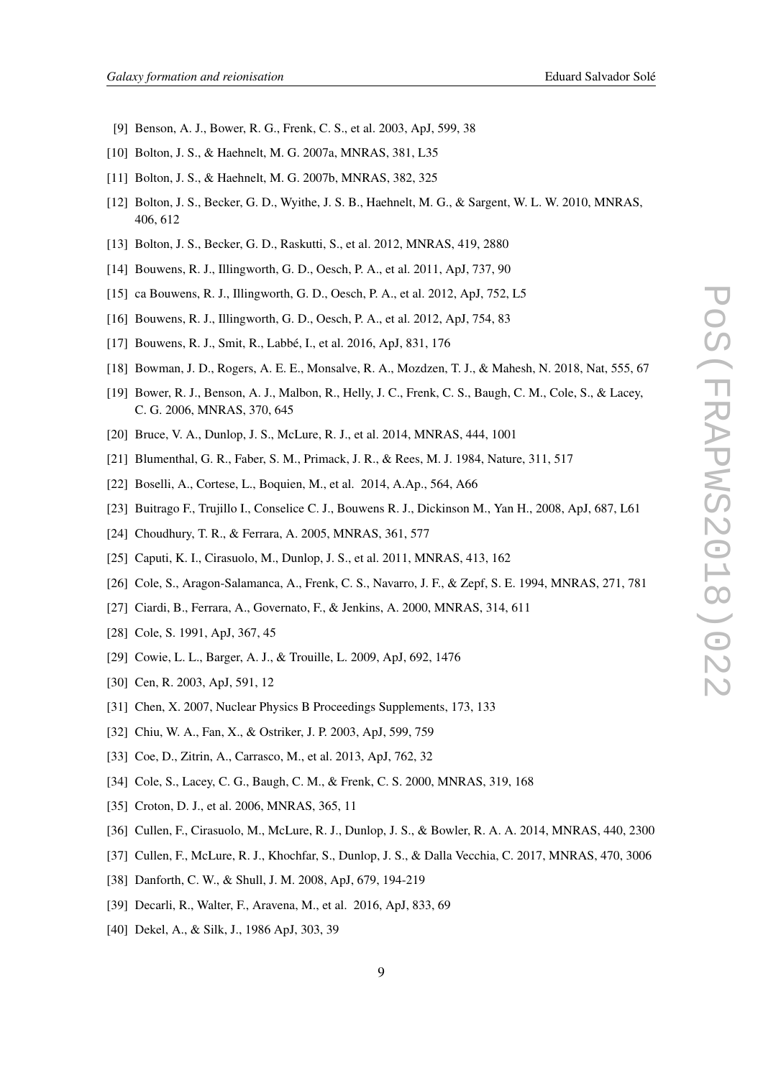- <span id="page-9-0"></span>[9] Benson, A. J., Bower, R. G., Frenk, C. S., et al. 2003, ApJ, 599, 38
- [10] Bolton, J. S., & Haehnelt, M. G. 2007a, MNRAS, 381, L35
- [11] Bolton, J. S., & Haehnelt, M. G. 2007b, MNRAS, 382, 325
- [12] Bolton, J. S., Becker, G. D., Wyithe, J. S. B., Haehnelt, M. G., & Sargent, W. L. W. 2010, MNRAS, 406, 612
- [13] Bolton, J. S., Becker, G. D., Raskutti, S., et al. 2012, MNRAS, 419, 2880
- [14] Bouwens, R. J., Illingworth, G. D., Oesch, P. A., et al. 2011, ApJ, 737, 90
- [15] ca Bouwens, R. J., Illingworth, G. D., Oesch, P. A., et al. 2012, ApJ, 752, L5
- [16] Bouwens, R. J., Illingworth, G. D., Oesch, P. A., et al. 2012, ApJ, 754, 83
- [17] Bouwens, R. J., Smit, R., Labbé, I., et al. 2016, ApJ, 831, 176
- [18] Bowman, J. D., Rogers, A. E. E., Monsalve, R. A., Mozdzen, T. J., & Mahesh, N. 2018, Nat, 555, 67
- [19] Bower, R. J., Benson, A. J., Malbon, R., Helly, J. C., Frenk, C. S., Baugh, C. M., Cole, S., & Lacey, C. G. 2006, MNRAS, 370, 645
- [20] Bruce, V. A., Dunlop, J. S., McLure, R. J., et al. 2014, MNRAS, 444, 1001
- [21] Blumenthal, G. R., Faber, S. M., Primack, J. R., & Rees, M. J. 1984, Nature, 311, 517
- [22] Boselli, A., Cortese, L., Boquien, M., et al. 2014, A.Ap., 564, A66
- [23] Buitrago F., Trujillo I., Conselice C. J., Bouwens R. J., Dickinson M., Yan H., 2008, ApJ, 687, L61
- [24] Choudhury, T. R., & Ferrara, A. 2005, MNRAS, 361, 577
- [25] Caputi, K. I., Cirasuolo, M., Dunlop, J. S., et al. 2011, MNRAS, 413, 162
- [26] Cole, S., Aragon-Salamanca, A., Frenk, C. S., Navarro, J. F., & Zepf, S. E. 1994, MNRAS, 271, 781
- [27] Ciardi, B., Ferrara, A., Governato, F., & Jenkins, A. 2000, MNRAS, 314, 611
- [28] Cole, S. 1991, ApJ, 367, 45
- [29] Cowie, L. L., Barger, A. J., & Trouille, L. 2009, ApJ, 692, 1476
- [30] Cen, R. 2003, ApJ, 591, 12
- [31] Chen, X. 2007, Nuclear Physics B Proceedings Supplements, 173, 133
- [32] Chiu, W. A., Fan, X., & Ostriker, J. P. 2003, ApJ, 599, 759
- [33] Coe, D., Zitrin, A., Carrasco, M., et al. 2013, ApJ, 762, 32
- [34] Cole, S., Lacey, C. G., Baugh, C. M., & Frenk, C. S. 2000, MNRAS, 319, 168
- [35] Croton, D. J., et al. 2006, MNRAS, 365, 11
- [36] Cullen, F., Cirasuolo, M., McLure, R. J., Dunlop, J. S., & Bowler, R. A. A. 2014, MNRAS, 440, 2300
- [37] Cullen, F., McLure, R. J., Khochfar, S., Dunlop, J. S., & Dalla Vecchia, C. 2017, MNRAS, 470, 3006
- [38] Danforth, C. W., & Shull, J. M. 2008, ApJ, 679, 194-219
- [39] Decarli, R., Walter, F., Aravena, M., et al. 2016, ApJ, 833, 69
- [40] Dekel, A., & Silk, J., 1986 ApJ, 303, 39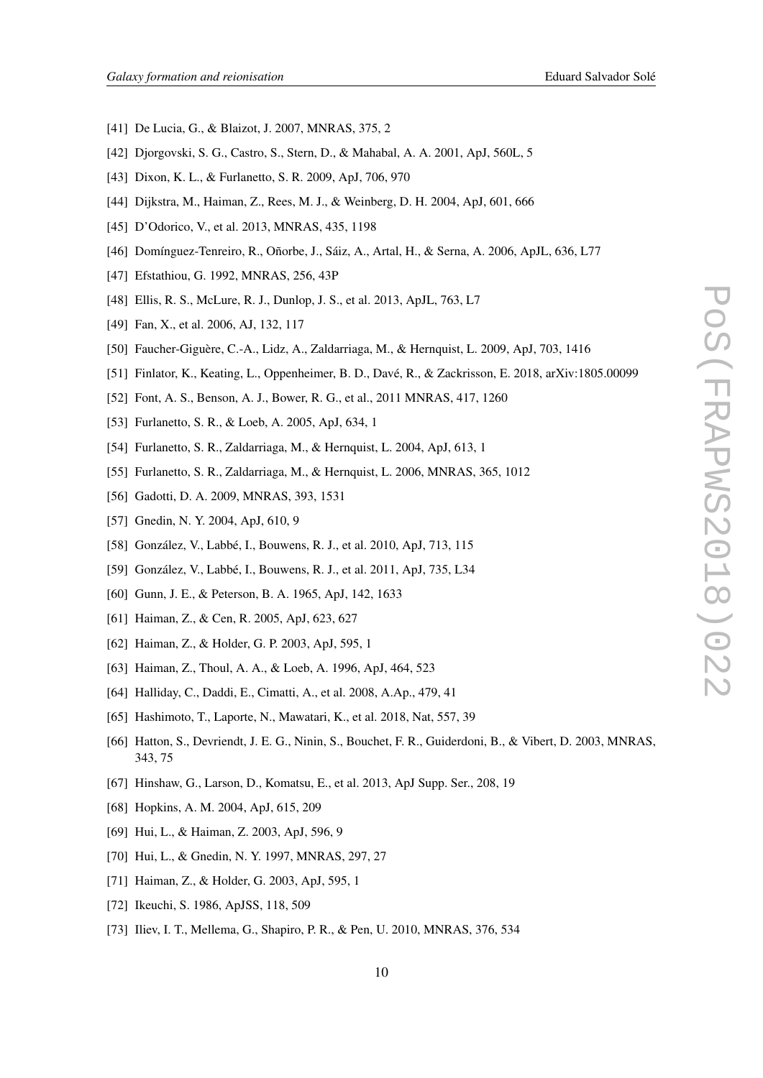- <span id="page-10-0"></span>[41] De Lucia, G., & Blaizot, J. 2007, MNRAS, 375, 2
- [42] Djorgovski, S. G., Castro, S., Stern, D., & Mahabal, A. A. 2001, ApJ, 560L, 5
- [43] Dixon, K. L., & Furlanetto, S. R. 2009, ApJ, 706, 970
- [44] Dijkstra, M., Haiman, Z., Rees, M. J., & Weinberg, D. H. 2004, ApJ, 601, 666
- [45] D'Odorico, V., et al. 2013, MNRAS, 435, 1198
- [46] Domínguez-Tenreiro, R., Oñorbe, J., Sáiz, A., Artal, H., & Serna, A. 2006, ApJL, 636, L77
- [47] Efstathiou, G. 1992, MNRAS, 256, 43P
- [48] Ellis, R. S., McLure, R. J., Dunlop, J. S., et al. 2013, ApJL, 763, L7
- [49] Fan, X., et al. 2006, AJ, 132, 117
- [50] Faucher-Giguère, C.-A., Lidz, A., Zaldarriaga, M., & Hernquist, L. 2009, ApJ, 703, 1416
- [51] Finlator, K., Keating, L., Oppenheimer, B. D., Davé, R., & Zackrisson, E. 2018, arXiv:1805.00099
- [52] Font, A. S., Benson, A. J., Bower, R. G., et al., 2011 MNRAS, 417, 1260
- [53] Furlanetto, S. R., & Loeb, A. 2005, ApJ, 634, 1
- [54] Furlanetto, S. R., Zaldarriaga, M., & Hernquist, L. 2004, ApJ, 613, 1
- [55] Furlanetto, S. R., Zaldarriaga, M., & Hernquist, L. 2006, MNRAS, 365, 1012
- [56] Gadotti, D. A. 2009, MNRAS, 393, 1531
- [57] Gnedin, N. Y. 2004, ApJ, 610, 9
- [58] González, V., Labbé, I., Bouwens, R. J., et al. 2010, ApJ, 713, 115
- [59] González, V., Labbé, I., Bouwens, R. J., et al. 2011, ApJ, 735, L34
- [60] Gunn, J. E., & Peterson, B. A. 1965, ApJ, 142, 1633
- [61] Haiman, Z., & Cen, R. 2005, ApJ, 623, 627
- [62] Haiman, Z., & Holder, G. P. 2003, ApJ, 595, 1
- [63] Haiman, Z., Thoul, A. A., & Loeb, A. 1996, ApJ, 464, 523
- [64] Halliday, C., Daddi, E., Cimatti, A., et al. 2008, A.Ap., 479, 41
- [65] Hashimoto, T., Laporte, N., Mawatari, K., et al. 2018, Nat, 557, 39
- [66] Hatton, S., Devriendt, J. E. G., Ninin, S., Bouchet, F. R., Guiderdoni, B., & Vibert, D. 2003, MNRAS, 343, 75
- [67] Hinshaw, G., Larson, D., Komatsu, E., et al. 2013, ApJ Supp. Ser., 208, 19
- [68] Hopkins, A. M. 2004, ApJ, 615, 209
- [69] Hui, L., & Haiman, Z. 2003, ApJ, 596, 9
- [70] Hui, L., & Gnedin, N. Y. 1997, MNRAS, 297, 27
- [71] Haiman, Z., & Holder, G. 2003, ApJ, 595, 1
- [72] Ikeuchi, S. 1986, ApJSS, 118, 509
- [73] Iliev, I. T., Mellema, G., Shapiro, P. R., & Pen, U. 2010, MNRAS, 376, 534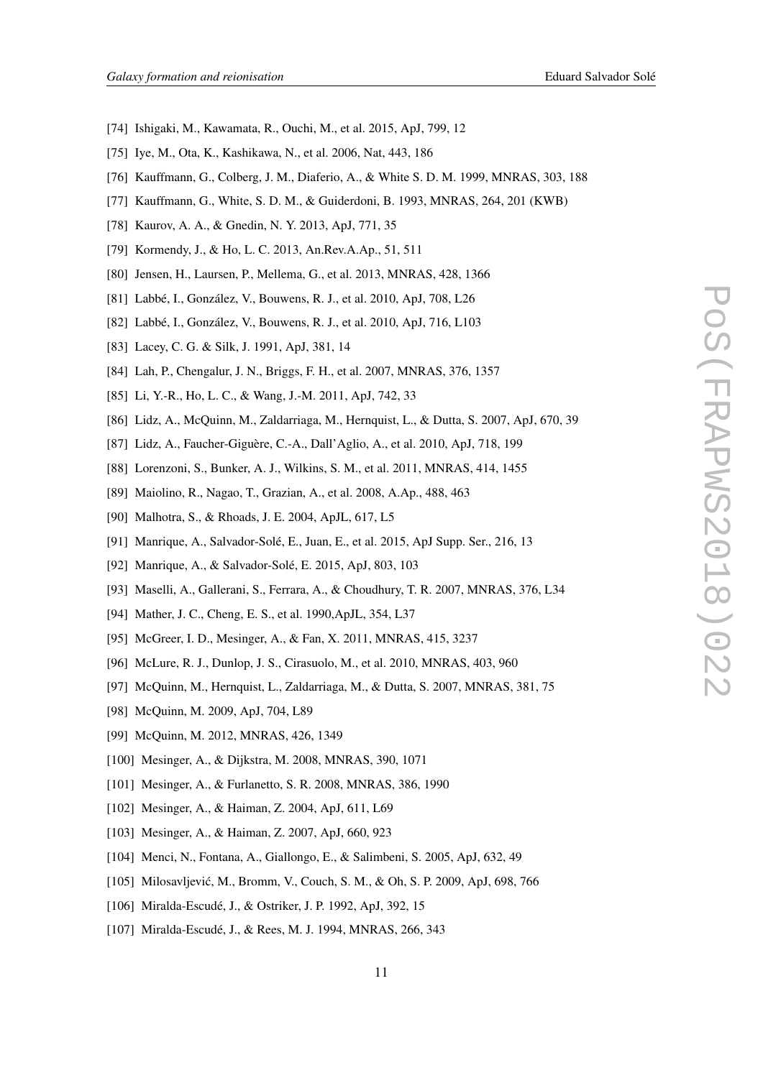- <span id="page-11-0"></span>[74] Ishigaki, M., Kawamata, R., Ouchi, M., et al. 2015, ApJ, 799, 12
- [75] Iye, M., Ota, K., Kashikawa, N., et al. 2006, Nat, 443, 186
- [76] Kauffmann, G., Colberg, J. M., Diaferio, A., & White S. D. M. 1999, MNRAS, 303, 188
- [77] Kauffmann, G., White, S. D. M., & Guiderdoni, B. 1993, MNRAS, 264, 201 (KWB)
- [78] Kaurov, A. A., & Gnedin, N. Y. 2013, ApJ, 771, 35
- [79] Kormendy, J., & Ho, L. C. 2013, An.Rev.A.Ap., 51, 511
- [80] Jensen, H., Laursen, P., Mellema, G., et al. 2013, MNRAS, 428, 1366
- [81] Labbé, I., González, V., Bouwens, R. J., et al. 2010, ApJ, 708, L26
- [82] Labbé, I., González, V., Bouwens, R. J., et al. 2010, ApJ, 716, L103
- [83] Lacey, C. G. & Silk, J. 1991, ApJ, 381, 14
- [84] Lah, P., Chengalur, J. N., Briggs, F. H., et al. 2007, MNRAS, 376, 1357
- [85] Li, Y.-R., Ho, L. C., & Wang, J.-M. 2011, ApJ, 742, 33
- [86] Lidz, A., McQuinn, M., Zaldarriaga, M., Hernquist, L., & Dutta, S. 2007, ApJ, 670, 39
- [87] Lidz, A., Faucher-Giguère, C.-A., Dall'Aglio, A., et al. 2010, ApJ, 718, 199
- [88] Lorenzoni, S., Bunker, A. J., Wilkins, S. M., et al. 2011, MNRAS, 414, 1455
- [89] Maiolino, R., Nagao, T., Grazian, A., et al. 2008, A.Ap., 488, 463
- [90] Malhotra, S., & Rhoads, J. E. 2004, ApJL, 617, L5
- [91] Manrique, A., Salvador-Solé, E., Juan, E., et al. 2015, ApJ Supp. Ser., 216, 13
- [92] Manrique, A., & Salvador-Solé, E. 2015, ApJ, 803, 103
- [93] Maselli, A., Gallerani, S., Ferrara, A., & Choudhury, T. R. 2007, MNRAS, 376, L34
- [94] Mather, J. C., Cheng, E. S., et al. 1990,ApJL, 354, L37
- [95] McGreer, I. D., Mesinger, A., & Fan, X. 2011, MNRAS, 415, 3237
- [96] McLure, R. J., Dunlop, J. S., Cirasuolo, M., et al. 2010, MNRAS, 403, 960
- [97] McQuinn, M., Hernquist, L., Zaldarriaga, M., & Dutta, S. 2007, MNRAS, 381, 75
- [98] McQuinn, M. 2009, ApJ, 704, L89
- [99] McQuinn, M. 2012, MNRAS, 426, 1349
- [100] Mesinger, A., & Dijkstra, M. 2008, MNRAS, 390, 1071
- [101] Mesinger, A., & Furlanetto, S. R. 2008, MNRAS, 386, 1990
- [102] Mesinger, A., & Haiman, Z. 2004, ApJ, 611, L69
- [103] Mesinger, A., & Haiman, Z. 2007, ApJ, 660, 923
- [104] Menci, N., Fontana, A., Giallongo, E., & Salimbeni, S. 2005, ApJ, 632, 49
- [105] Milosavljević, M., Bromm, V., Couch, S. M., & Oh, S. P. 2009, ApJ, 698, 766
- [106] Miralda-Escudé, J., & Ostriker, J. P. 1992, ApJ, 392, 15
- [107] Miralda-Escudé, J., & Rees, M. J. 1994, MNRAS, 266, 343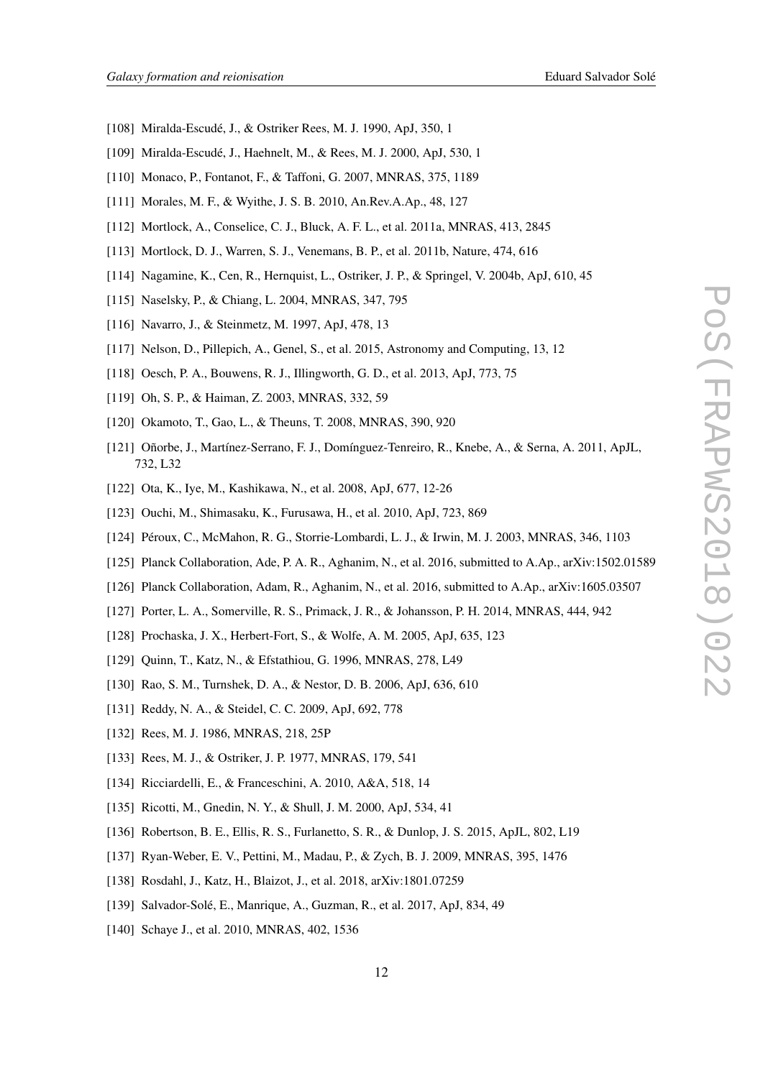- <span id="page-12-0"></span>[108] Miralda-Escudé, J., & Ostriker Rees, M. J. 1990, ApJ, 350, 1
- [109] Miralda-Escudé, J., Haehnelt, M., & Rees, M. J. 2000, ApJ, 530, 1
- [110] Monaco, P., Fontanot, F., & Taffoni, G. 2007, MNRAS, 375, 1189
- [111] Morales, M. F., & Wyithe, J. S. B. 2010, An.Rev.A.Ap., 48, 127
- [112] Mortlock, A., Conselice, C. J., Bluck, A. F. L., et al. 2011a, MNRAS, 413, 2845
- [113] Mortlock, D. J., Warren, S. J., Venemans, B. P., et al. 2011b, Nature, 474, 616
- [114] Nagamine, K., Cen, R., Hernquist, L., Ostriker, J. P., & Springel, V. 2004b, ApJ, 610, 45
- [115] Naselsky, P., & Chiang, L. 2004, MNRAS, 347, 795
- [116] Navarro, J., & Steinmetz, M. 1997, ApJ, 478, 13
- [117] Nelson, D., Pillepich, A., Genel, S., et al. 2015, Astronomy and Computing, 13, 12
- [118] Oesch, P. A., Bouwens, R. J., Illingworth, G. D., et al. 2013, ApJ, 773, 75
- [119] Oh, S. P., & Haiman, Z. 2003, MNRAS, 332, 59
- [120] Okamoto, T., Gao, L., & Theuns, T. 2008, MNRAS, 390, 920
- [121] Oñorbe, J., Martínez-Serrano, F. J., Domínguez-Tenreiro, R., Knebe, A., & Serna, A. 2011, ApJL, 732, L32
- [122] Ota, K., Iye, M., Kashikawa, N., et al. 2008, ApJ, 677, 12-26
- [123] Ouchi, M., Shimasaku, K., Furusawa, H., et al. 2010, ApJ, 723, 869
- [124] Péroux, C., McMahon, R. G., Storrie-Lombardi, L. J., & Irwin, M. J. 2003, MNRAS, 346, 1103
- [125] Planck Collaboration, Ade, P. A. R., Aghanim, N., et al. 2016, submitted to A.Ap., arXiv:1502.01589
- [126] Planck Collaboration, Adam, R., Aghanim, N., et al. 2016, submitted to A.Ap., arXiv:1605.03507
- [127] Porter, L. A., Somerville, R. S., Primack, J. R., & Johansson, P. H. 2014, MNRAS, 444, 942
- [128] Prochaska, J. X., Herbert-Fort, S., & Wolfe, A. M. 2005, ApJ, 635, 123
- [129] Quinn, T., Katz, N., & Efstathiou, G. 1996, MNRAS, 278, L49
- [130] Rao, S. M., Turnshek, D. A., & Nestor, D. B. 2006, ApJ, 636, 610
- [131] Reddy, N. A., & Steidel, C. C. 2009, ApJ, 692, 778
- [132] Rees, M. J. 1986, MNRAS, 218, 25P
- [133] Rees, M. J., & Ostriker, J. P. 1977, MNRAS, 179, 541
- [134] Ricciardelli, E., & Franceschini, A. 2010, A&A, 518, 14
- [135] Ricotti, M., Gnedin, N. Y., & Shull, J. M. 2000, ApJ, 534, 41
- [136] Robertson, B. E., Ellis, R. S., Furlanetto, S. R., & Dunlop, J. S. 2015, ApJL, 802, L19
- [137] Ryan-Weber, E. V., Pettini, M., Madau, P., & Zych, B. J. 2009, MNRAS, 395, 1476
- [138] Rosdahl, J., Katz, H., Blaizot, J., et al. 2018, arXiv:1801.07259
- [139] Salvador-Solé, E., Manrique, A., Guzman, R., et al. 2017, ApJ, 834, 49
- [140] Schaye J., et al. 2010, MNRAS, 402, 1536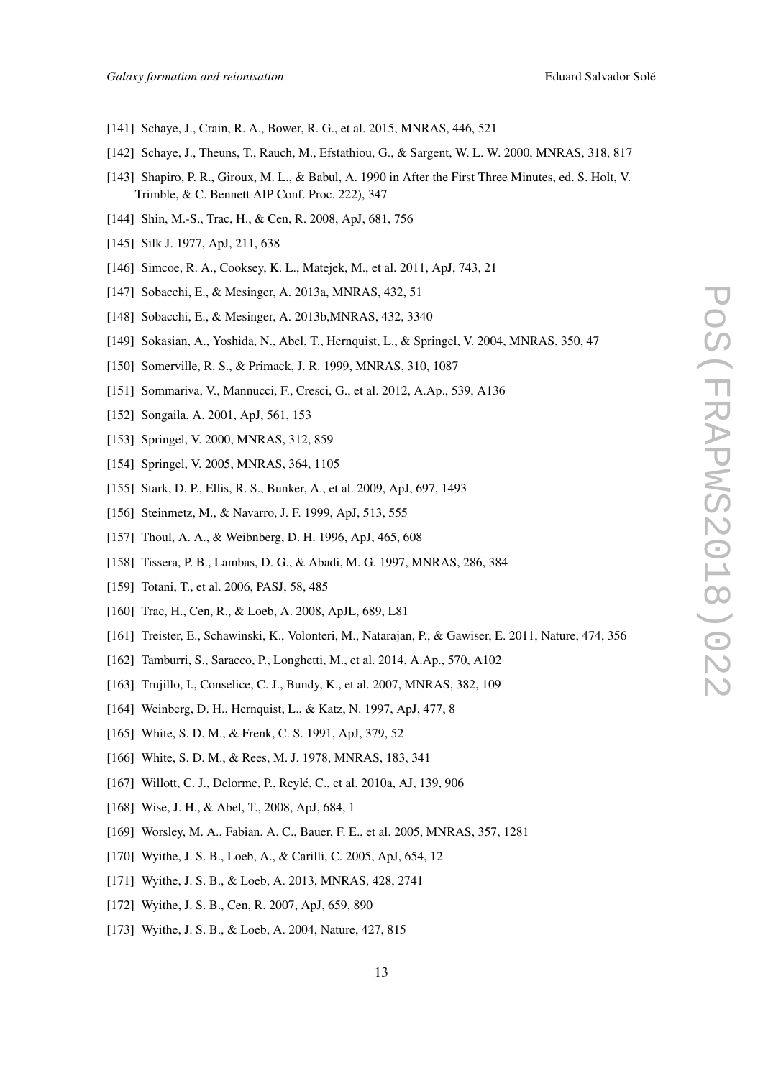- 
- <span id="page-13-0"></span>[141] Schaye, J., Crain, R. A., Bower, R. G., et al. 2015, MNRAS, 446, 521
- [142] Schaye, J., Theuns, T., Rauch, M., Efstathiou, G., & Sargent, W. L. W. 2000, MNRAS, 318, 817
- [143] Shapiro, P. R., Giroux, M. L., & Babul, A. 1990 in After the First Three Minutes, ed. S. Holt, V. Trimble, & C. Bennett AIP Conf. Proc. 222), 347
- [144] Shin, M.-S., Trac, H., & Cen, R. 2008, ApJ, 681, 756
- [145] Silk J. 1977, ApJ, 211, 638
- [146] Simcoe, R. A., Cooksey, K. L., Matejek, M., et al. 2011, ApJ, 743, 21
- [147] Sobacchi, E., & Mesinger, A. 2013a, MNRAS, 432, 51
- [148] Sobacchi, E., & Mesinger, A. 2013b,MNRAS, 432, 3340
- [149] Sokasian, A., Yoshida, N., Abel, T., Hernquist, L., & Springel, V. 2004, MNRAS, 350, 47
- [150] Somerville, R. S., & Primack, J. R. 1999, MNRAS, 310, 1087
- [151] Sommariva, V., Mannucci, F., Cresci, G., et al. 2012, A.Ap., 539, A136
- [152] Songaila, A. 2001, ApJ, 561, 153
- [153] Springel, V. 2000, MNRAS, 312, 859
- [154] Springel, V. 2005, MNRAS, 364, 1105
- [155] Stark, D. P., Ellis, R. S., Bunker, A., et al. 2009, ApJ, 697, 1493
- [156] Steinmetz, M., & Navarro, J. F. 1999, ApJ, 513, 555
- [157] Thoul, A. A., & Weibnberg, D. H. 1996, ApJ, 465, 608
- [158] Tissera, P. B., Lambas, D. G., & Abadi, M. G. 1997, MNRAS, 286, 384
- [159] Totani, T., et al. 2006, PASJ, 58, 485
- [160] Trac, H., Cen, R., & Loeb, A. 2008, ApJL, 689, L81
- [161] Treister, E., Schawinski, K., Volonteri, M., Natarajan, P., & Gawiser, E. 2011, Nature, 474, 356
- [162] Tamburri, S., Saracco, P., Longhetti, M., et al. 2014, A.Ap., 570, A102
- [163] Trujillo, I., Conselice, C. J., Bundy, K., et al. 2007, MNRAS, 382, 109
- [164] Weinberg, D. H., Hernquist, L., & Katz, N. 1997, ApJ, 477, 8
- [165] White, S. D. M., & Frenk, C. S. 1991, ApJ, 379, 52
- [166] White, S. D. M., & Rees, M. J. 1978, MNRAS, 183, 341
- [167] Willott, C. J., Delorme, P., Reylé, C., et al. 2010a, AJ, 139, 906
- [168] Wise, J. H., & Abel, T., 2008, ApJ, 684, 1
- [169] Worsley, M. A., Fabian, A. C., Bauer, F. E., et al. 2005, MNRAS, 357, 1281
- [170] Wyithe, J. S. B., Loeb, A., & Carilli, C. 2005, ApJ, 654, 12
- [171] Wyithe, J. S. B., & Loeb, A. 2013, MNRAS, 428, 2741
- [172] Wyithe, J. S. B., Cen, R. 2007, ApJ, 659, 890
- [173] Wyithe, J. S. B., & Loeb, A. 2004, Nature, 427, 815